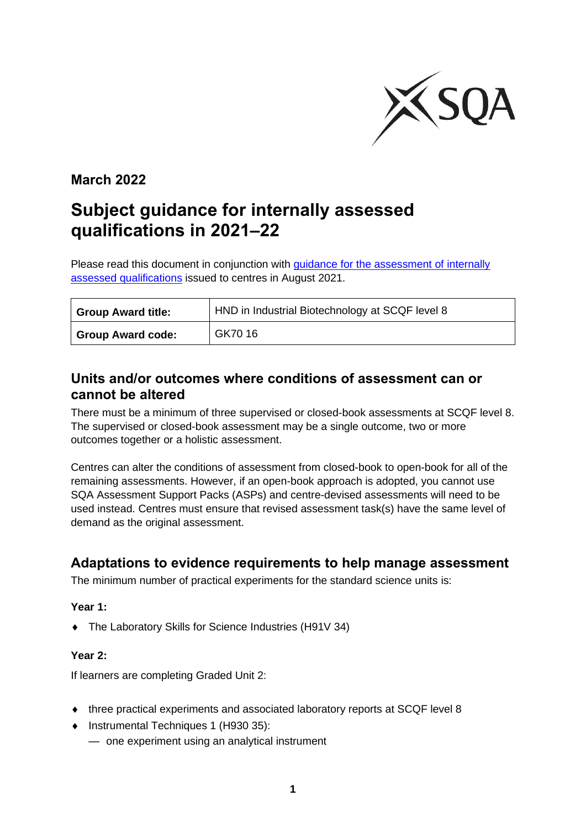

### **March 2022**

# **Subject guidance for internally assessed qualifications in 2021–22**

Please read this document in conjunction with guidance for the assessment of internally [assessed qualifications](https://www.sqa.org.uk/sqa/96759.html) issued to centres in August 2021.

| <b>Group Award title:</b> | HND in Industrial Biotechnology at SCQF level 8 |  |
|---------------------------|-------------------------------------------------|--|
| Group Award code:         | GK70 16                                         |  |

### **Units and/or outcomes where conditions of assessment can or cannot be altered**

There must be a minimum of three supervised or closed-book assessments at SCQF level 8. The supervised or closed-book assessment may be a single outcome, two or more outcomes together or a holistic assessment.

Centres can alter the conditions of assessment from closed-book to open-book for all of the remaining assessments. However, if an open-book approach is adopted, you cannot use SQA Assessment Support Packs (ASPs) and centre-devised assessments will need to be used instead. Centres must ensure that revised assessment task(s) have the same level of demand as the original assessment.

### **Adaptations to evidence requirements to help manage assessment**

The minimum number of practical experiments for the standard science units is:

#### **Year 1:**

◆ The Laboratory Skills for Science Industries (H91V 34)

#### **Year 2:**

If learners are completing Graded Unit 2:

- ◆ three practical experiments and associated laboratory reports at SCQF level 8
- ◆ Instrumental Techniques 1 (H930 35):
	- one experiment using an analytical instrument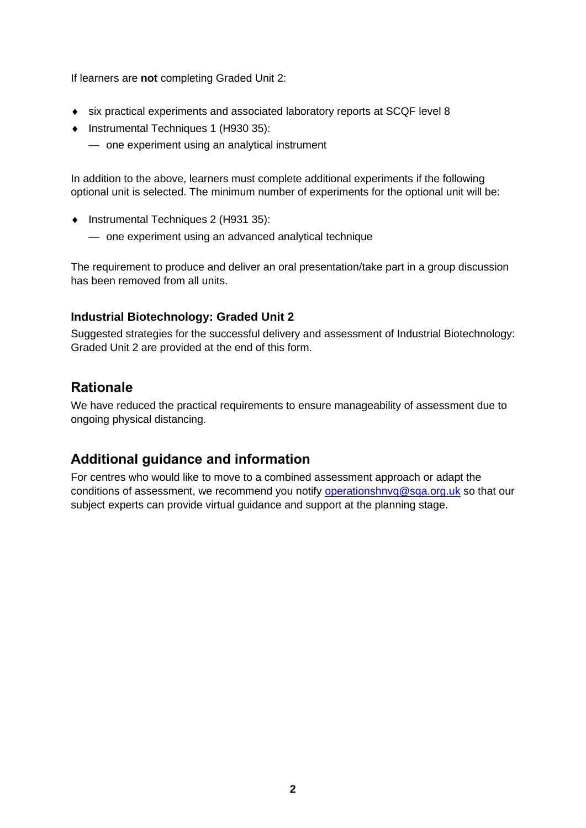If learners are **not** completing Graded Unit 2:

- six practical experiments and associated laboratory reports at SCQF level 8
- ◆ Instrumental Techniques 1 (H930 35):
	- one experiment using an analytical instrument

In addition to the above, learners must complete additional experiments if the following optional unit is selected. The minimum number of experiments for the optional unit will be:

- ◆ Instrumental Techniques 2 (H931 35):
	- one experiment using an advanced analytical technique

The requirement to produce and deliver an oral presentation/take part in a group discussion has been removed from all units.

#### **Industrial Biotechnology: Graded Unit 2**

Suggested strategies for the successful delivery and assessment of Industrial Biotechnology: Graded Unit 2 are provided at the end of this form.

### **Rationale**

We have reduced the practical requirements to ensure manageability of assessment due to ongoing physical distancing.

### **Additional guidance and information**

For centres who would like to move to a combined assessment approach or adapt the conditions of assessment, we recommend you notify [operationshnvq@sqa.org.uk](mailto:operationshnvq@sqa.org.uk) so that our subject experts can provide virtual guidance and support at the planning stage.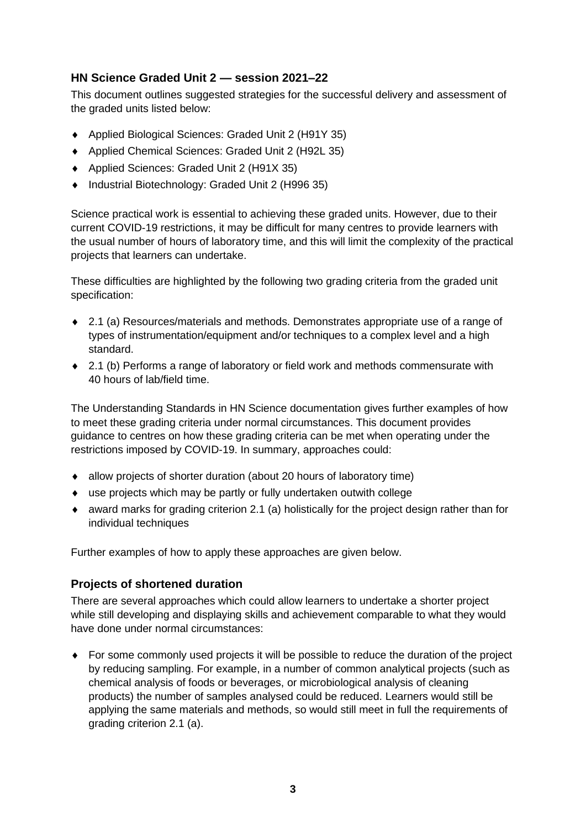### **HN Science Graded Unit 2 — session 2021–22**

This document outlines suggested strategies for the successful delivery and assessment of the graded units listed below:

- Applied Biological Sciences: Graded Unit 2 (H91Y 35)
- ◆ Applied Chemical Sciences: Graded Unit 2 (H92L 35)
- ◆ Applied Sciences: Graded Unit 2 (H91X 35)
- Industrial Biotechnology: Graded Unit 2 (H996 35)

Science practical work is essential to achieving these graded units. However, due to their current COVID-19 restrictions, it may be difficult for many centres to provide learners with the usual number of hours of laboratory time, and this will limit the complexity of the practical projects that learners can undertake.

These difficulties are highlighted by the following two grading criteria from the graded unit specification:

- 2.1 (a) Resources/materials and methods. Demonstrates appropriate use of a range of types of instrumentation/equipment and/or techniques to a complex level and a high standard.
- ◆ 2.1 (b) Performs a range of laboratory or field work and methods commensurate with 40 hours of lab/field time.

The Understanding Standards in HN Science documentation gives further examples of how to meet these grading criteria under normal circumstances. This document provides guidance to centres on how these grading criteria can be met when operating under the restrictions imposed by COVID-19. In summary, approaches could:

- allow projects of shorter duration (about 20 hours of laboratory time)
- use projects which may be partly or fully undertaken outwith college
- award marks for grading criterion 2.1 (a) holistically for the project design rather than for individual techniques

Further examples of how to apply these approaches are given below.

#### **Projects of shortened duration**

There are several approaches which could allow learners to undertake a shorter project while still developing and displaying skills and achievement comparable to what they would have done under normal circumstances:

 For some commonly used projects it will be possible to reduce the duration of the project by reducing sampling. For example, in a number of common analytical projects (such as chemical analysis of foods or beverages, or microbiological analysis of cleaning products) the number of samples analysed could be reduced. Learners would still be applying the same materials and methods, so would still meet in full the requirements of grading criterion 2.1 (a).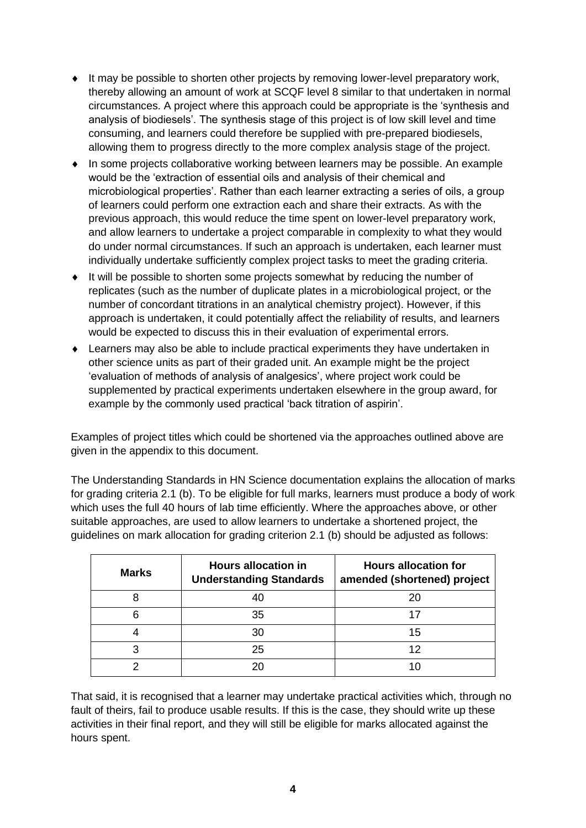- It may be possible to shorten other projects by removing lower-level preparatory work, thereby allowing an amount of work at SCQF level 8 similar to that undertaken in normal circumstances. A project where this approach could be appropriate is the 'synthesis and analysis of biodiesels'. The synthesis stage of this project is of low skill level and time consuming, and learners could therefore be supplied with pre-prepared biodiesels, allowing them to progress directly to the more complex analysis stage of the project.
- In some projects collaborative working between learners may be possible. An example would be the 'extraction of essential oils and analysis of their chemical and microbiological properties'. Rather than each learner extracting a series of oils, a group of learners could perform one extraction each and share their extracts. As with the previous approach, this would reduce the time spent on lower-level preparatory work, and allow learners to undertake a project comparable in complexity to what they would do under normal circumstances. If such an approach is undertaken, each learner must individually undertake sufficiently complex project tasks to meet the grading criteria.
- It will be possible to shorten some projects somewhat by reducing the number of replicates (such as the number of duplicate plates in a microbiological project, or the number of concordant titrations in an analytical chemistry project). However, if this approach is undertaken, it could potentially affect the reliability of results, and learners would be expected to discuss this in their evaluation of experimental errors.
- Learners may also be able to include practical experiments they have undertaken in other science units as part of their graded unit. An example might be the project 'evaluation of methods of analysis of analgesics', where project work could be supplemented by practical experiments undertaken elsewhere in the group award, for example by the commonly used practical 'back titration of aspirin'.

Examples of project titles which could be shortened via the approaches outlined above are given in the appendix to this document.

The Understanding Standards in HN Science documentation explains the allocation of marks for grading criteria 2.1 (b). To be eligible for full marks, learners must produce a body of work which uses the full 40 hours of lab time efficiently. Where the approaches above, or other suitable approaches, are used to allow learners to undertake a shortened project, the guidelines on mark allocation for grading criterion 2.1 (b) should be adjusted as follows:

| <b>Marks</b> | <b>Hours allocation in</b><br><b>Understanding Standards</b> | <b>Hours allocation for</b><br>amended (shortened) project |
|--------------|--------------------------------------------------------------|------------------------------------------------------------|
|              |                                                              | 20                                                         |
| 6            | 35                                                           |                                                            |
|              | 30                                                           | 15                                                         |
| 3            | 25                                                           | 12                                                         |
| ◠            |                                                              |                                                            |

That said, it is recognised that a learner may undertake practical activities which, through no fault of theirs, fail to produce usable results. If this is the case, they should write up these activities in their final report, and they will still be eligible for marks allocated against the hours spent.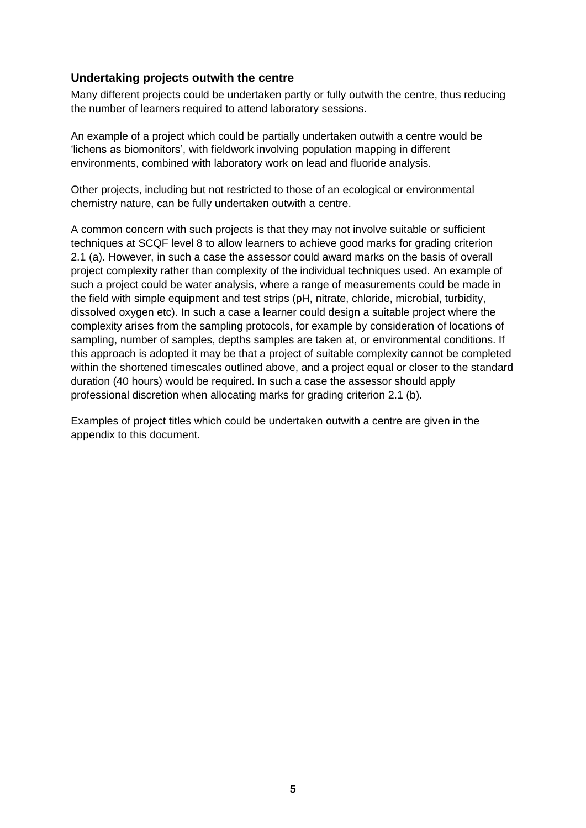#### **Undertaking projects outwith the centre**

Many different projects could be undertaken partly or fully outwith the centre, thus reducing the number of learners required to attend laboratory sessions.

An example of a project which could be partially undertaken outwith a centre would be 'lichens as biomonitors', with fieldwork involving population mapping in different environments, combined with laboratory work on lead and fluoride analysis.

Other projects, including but not restricted to those of an ecological or environmental chemistry nature, can be fully undertaken outwith a centre.

A common concern with such projects is that they may not involve suitable or sufficient techniques at SCQF level 8 to allow learners to achieve good marks for grading criterion 2.1 (a). However, in such a case the assessor could award marks on the basis of overall project complexity rather than complexity of the individual techniques used. An example of such a project could be water analysis, where a range of measurements could be made in the field with simple equipment and test strips (pH, nitrate, chloride, microbial, turbidity, dissolved oxygen etc). In such a case a learner could design a suitable project where the complexity arises from the sampling protocols, for example by consideration of locations of sampling, number of samples, depths samples are taken at, or environmental conditions. If this approach is adopted it may be that a project of suitable complexity cannot be completed within the shortened timescales outlined above, and a project equal or closer to the standard duration (40 hours) would be required. In such a case the assessor should apply professional discretion when allocating marks for grading criterion 2.1 (b).

Examples of project titles which could be undertaken outwith a centre are given in the appendix to this document.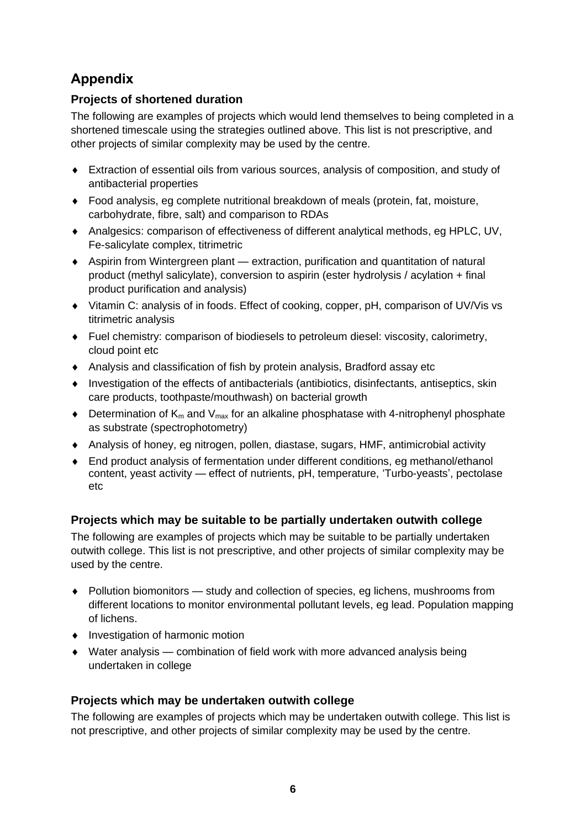## **Appendix**

### **Projects of shortened duration**

The following are examples of projects which would lend themselves to being completed in a shortened timescale using the strategies outlined above. This list is not prescriptive, and other projects of similar complexity may be used by the centre.

- Extraction of essential oils from various sources, analysis of composition, and study of antibacterial properties
- Food analysis, eg complete nutritional breakdown of meals (protein, fat, moisture, carbohydrate, fibre, salt) and comparison to RDAs
- Analgesics: comparison of effectiveness of different analytical methods, eg HPLC, UV, Fe-salicylate complex, titrimetric
- Aspirin from Wintergreen plant extraction, purification and quantitation of natural product (methyl salicylate), conversion to aspirin (ester hydrolysis / acylation + final product purification and analysis)
- Vitamin C: analysis of in foods. Effect of cooking, copper, pH, comparison of UV/Vis vs titrimetric analysis
- Fuel chemistry: comparison of biodiesels to petroleum diesel: viscosity, calorimetry, cloud point etc
- Analysis and classification of fish by protein analysis, Bradford assay etc
- Investigation of the effects of antibacterials (antibiotics, disinfectants, antiseptics, skin care products, toothpaste/mouthwash) on bacterial growth
- $\bullet$  Determination of K<sub>m</sub> and V<sub>max</sub> for an alkaline phosphatase with 4-nitrophenyl phosphate as substrate (spectrophotometry)
- Analysis of honey, eg nitrogen, pollen, diastase, sugars, HMF, antimicrobial activity
- End product analysis of fermentation under different conditions, eg methanol/ethanol content, yeast activity — effect of nutrients, pH, temperature, 'Turbo-yeasts', pectolase etc

### **Projects which may be suitable to be partially undertaken outwith college**

The following are examples of projects which may be suitable to be partially undertaken outwith college. This list is not prescriptive, and other projects of similar complexity may be used by the centre.

- Pollution biomonitors study and collection of species, eg lichens, mushrooms from different locations to monitor environmental pollutant levels, eg lead. Population mapping of lichens.
- Investigation of harmonic motion
- Water analysis combination of field work with more advanced analysis being undertaken in college

### **Projects which may be undertaken outwith college**

The following are examples of projects which may be undertaken outwith college. This list is not prescriptive, and other projects of similar complexity may be used by the centre.